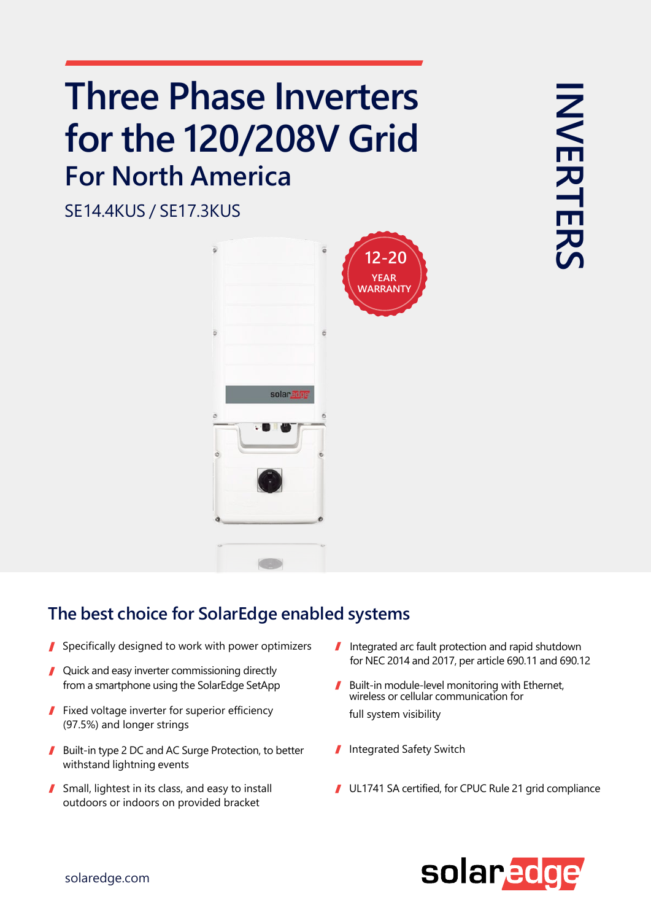## **Three Phase Inverters for the 120/208V Grid For North America**

SE14.4KUS / SE17.3KUS



## **The best choice for SolarEdge enabled systems**

- Specifically designed to work with power optimizers
- Quick and easy inverter commissioning directly
- Fixed voltage inverter for superior efficiency (97.5%) and longer strings
- Built-in type 2 DC and AC Surge Protection, to better withstand lightning events
- Small, lightest in its class, and easy to install outdoors or indoors on provided bracket
- I Integrated arc fault protection and rapid shutdown for NEC 2014 and 2017, per article 690.11 and 690.12
- from a smartphone using the SolarEdge SetApp **Built-in module-level monitoring with Ethernet**, wireless or cellular communication for full system visibility
	- Integrated Safety Switch
	- UL1741 SA certified, for CPUC Rule 21 grid compliance